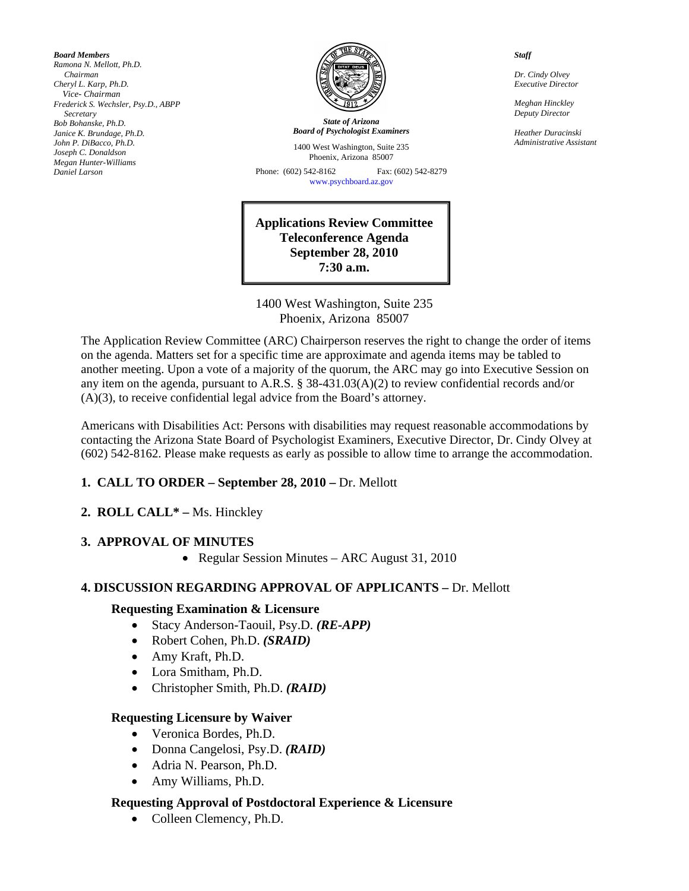*Board Members Ramona N. Mellott, Ph.D. Chairman Cheryl L. Karp, Ph.D. Vice- Chairman Frederick S. Wechsler, Psy.D., ABPP Secretary Bob Bohanske, Ph.D. Janice K. Brundage, Ph.D. John P. DiBacco, Ph.D. Joseph C. Donaldson Megan Hunter-Williams Daniel Larson* 



*State of Arizona Board of Psychologist Examiners*

1400 West Washington, Suite 235 Phoenix, Arizona 85007

Phone: (602) 542-8162 Fax: (602) 542-8279 [www.psychboard.az.gov](http://www.psychboard.az.gov/) 

**Applications Review Committee Teleconference Agenda September 28, 2010 7:30 a.m.** 

1400 West Washington, Suite 235 Phoenix, Arizona 85007

The Application Review Committee (ARC) Chairperson reserves the right to change the order of items on the agenda. Matters set for a specific time are approximate and agenda items may be tabled to another meeting. Upon a vote of a majority of the quorum, the ARC may go into Executive Session on any item on the agenda, pursuant to A.R.S. § 38-431.03(A)(2) to review confidential records and/or (A)(3), to receive confidential legal advice from the Board's attorney.

Americans with Disabilities Act: Persons with disabilities may request reasonable accommodations by contacting the Arizona State Board of Psychologist Examiners, Executive Director, Dr. Cindy Olvey at (602) 542-8162. Please make requests as early as possible to allow time to arrange the accommodation.

### 1. CALL TO ORDER – September 28, 2010 – Dr. Mellott

#### **2. ROLL CALL\* –** Ms. Hinckley

#### **3. APPROVAL OF MINUTES**

• Regular Session Minutes – ARC August 31, 2010

#### **4. DISCUSSION REGARDING APPROVAL OF APPLICANTS –** Dr. Mellott

#### **Requesting Examination & Licensure**

- Stacy Anderson-Taouil, Psy.D. *(RE-APP)*
- Robert Cohen, Ph.D. *(SRAID)*
- Amy Kraft, Ph.D.
- Lora Smitham, Ph.D.
- Christopher Smith, Ph.D. *(RAID)*

#### **Requesting Licensure by Waiver**

- Veronica Bordes, Ph.D.
- Donna Cangelosi, Psy.D. *(RAID)*
- Adria N. Pearson, Ph.D.
- Amy Williams, Ph.D.

#### **Requesting Approval of Postdoctoral Experience & Licensure**

• Colleen Clemency, Ph.D.

*Staff* 

*Dr. Cindy Olvey Executive Director* 

*Meghan Hinckley Deputy Director* 

*Heather Duracinski Administrative Assistant*